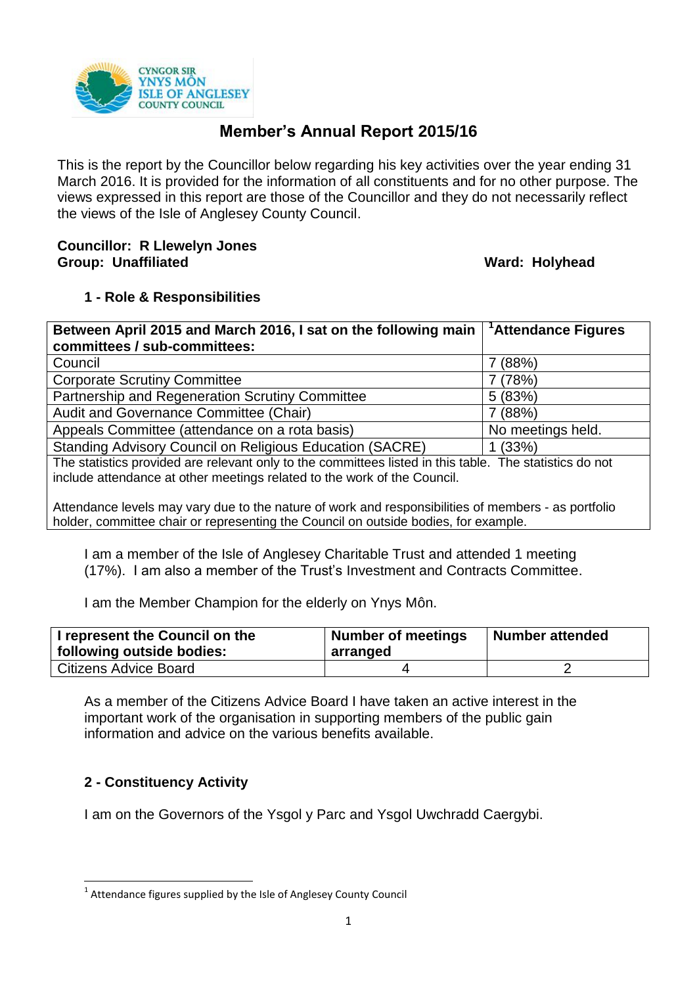

# **Member's Annual Report 2015/16**

This is the report by the Councillor below regarding his key activities over the year ending 31 March 2016. It is provided for the information of all constituents and for no other purpose. The views expressed in this report are those of the Councillor and they do not necessarily reflect the views of the Isle of Anglesey County Council.

## **Councillor: R Llewelyn Jones Group: Unaffiliated Ward: Holyhead**

## **1 - Role & Responsibilities**

| Between April 2015 and March 2016, I sat on the following main                                                                                                                      | <sup>1</sup> Attendance Figures |
|-------------------------------------------------------------------------------------------------------------------------------------------------------------------------------------|---------------------------------|
| committees / sub-committees:                                                                                                                                                        |                                 |
| Council                                                                                                                                                                             | 7 (88%)                         |
| <b>Corporate Scrutiny Committee</b>                                                                                                                                                 | 7 (78%)                         |
| Partnership and Regeneration Scrutiny Committee                                                                                                                                     | 5(83%)                          |
| Audit and Governance Committee (Chair)                                                                                                                                              | 7(88%)                          |
| Appeals Committee (attendance on a rota basis)                                                                                                                                      | No meetings held.               |
| Standing Advisory Council on Religious Education (SACRE)                                                                                                                            | 1(33%)                          |
| The statistics provided are relevant only to the committees listed in this table. The statistics do not<br>include attendance at other meetings related to the work of the Council. |                                 |
| Attendance levels may vary due to the nature of work and responsibilities of members - as portfolio                                                                                 |                                 |

holder, committee chair or representing the Council on outside bodies, for example.

I am a member of the Isle of Anglesey Charitable Trust and attended 1 meeting (17%). I am also a member of the Trust's Investment and Contracts Committee.

I am the Member Champion for the elderly on Ynys Môn.

| I represent the Council on the<br>  following outside bodies: | <b>Number of meetings</b><br>arranged | Number attended |
|---------------------------------------------------------------|---------------------------------------|-----------------|
| Citizens Advice Board                                         |                                       |                 |

As a member of the Citizens Advice Board I have taken an active interest in the important work of the organisation in supporting members of the public gain information and advice on the various benefits available.

## **2 - Constituency Activity**

**.** 

I am on the Governors of the Ysgol y Parc and Ysgol Uwchradd Caergybi.

 $1$  Attendance figures supplied by the Isle of Anglesey County Council